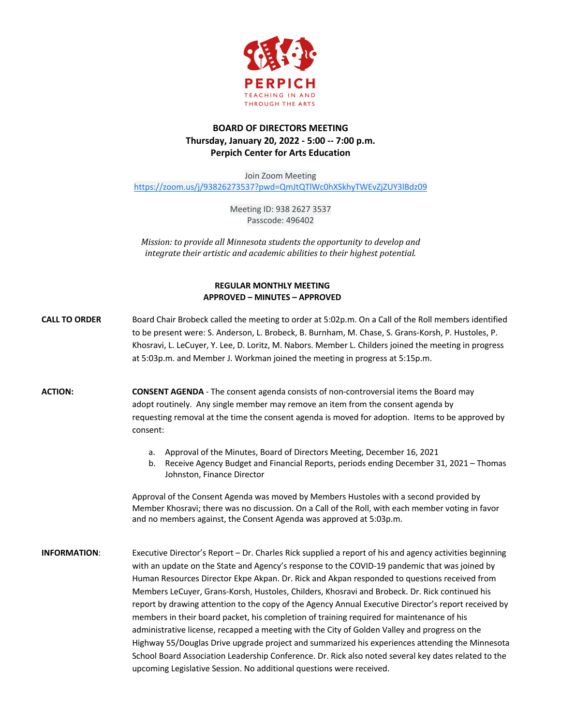

# **BOARD OF DIRECTORS MEETING Thursday, January 20, 2022 - 5:00 -- 7:00 p.m. Perpich Center for Arts Education**

Join Zoom Meeting https://zoom.us/j/93826273537?pwd=QmJtQTlWc0hXSkhyTWEvZjZUY3lBdz09

> Meeting ID: 938 2627 3537 Passcode: 496402

*Mission:* to provide all Minnesota students the opportunity to develop and *integrate their artistic and academic abilities to their highest potential.* 

## **REGULAR MONTHLY MEETING APPROVED – MINUTES – APPROVED**

- **CALL TO ORDER** Board Chair Brobeck called the meeting to order at 5:02p.m. On a Call of the Roll members identified to be present were: S. Anderson, L. Brobeck, B. Burnham, M. Chase, S. Grans-Korsh, P. Hustoles, P. Khosravi, L. LeCuyer, Y. Lee, D. Loritz, M. Nabors. Member L. Childers joined the meeting in progress at 5:03p.m. and Member J. Workman joined the meeting in progress at 5:15p.m.
- **ACTION: CONSENT AGENDA**  The consent agenda consists of non-controversial items the Board may adopt routinely. Any single member may remove an item from the consent agenda by requesting removal at the time the consent agenda is moved for adoption. Items to be approved by consent:
	- a. Approval of the Minutes, Board of Directors Meeting, December 16, 2021
	- b. Receive Agency Budget and Financial Reports, periods ending December 31, 2021 Thomas Johnston, Finance Director

Approval of the Consent Agenda was moved by Members Hustoles with a second provided by Member Khosravi; there was no discussion. On a Call of the Roll, with each member voting in favor and no members against, the Consent Agenda was approved at 5:03p.m.

**INFORMATION**: Executive Director's Report – Dr. Charles Rick supplied a report of his and agency activities beginning with an update on the State and Agency's response to the COVID-19 pandemic that was joined by Human Resources Director Ekpe Akpan. Dr. Rick and Akpan responded to questions received from Members LeCuyer, Grans-Korsh, Hustoles, Childers, Khosravi and Brobeck. Dr. Rick continued his report by drawing attention to the copy of the Agency Annual Executive Director's report received by members in their board packet, his completion of training required for maintenance of his administrative license, recapped a meeting with the City of Golden Valley and progress on the Highway 55/Douglas Drive upgrade project and summarized his experiences attending the Minnesota School Board Association Leadership Conference. Dr. Rick also noted several key dates related to the upcoming Legislative Session. No additional questions were received.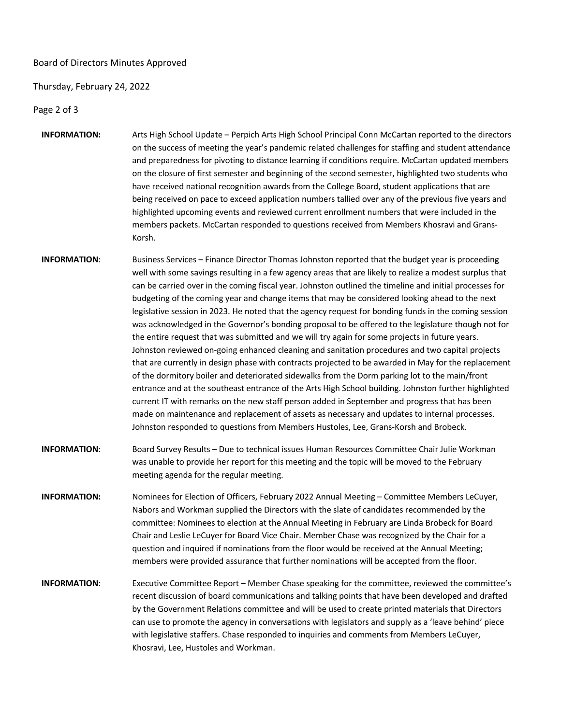### Board of Directors Minutes Approved

#### Thursday, February 24, 2022

Page 2 of 3

- **INFORMATION:** Arts High School Update Perpich Arts High School Principal Conn McCartan reported to the directors on the success of meeting the year's pandemic related challenges for staffing and student attendance and preparedness for pivoting to distance learning if conditions require. McCartan updated members on the closure of first semester and beginning of the second semester, highlighted two students who have received national recognition awards from the College Board, student applications that are being received on pace to exceed application numbers tallied over any of the previous five years and highlighted upcoming events and reviewed current enrollment numbers that were included in the members packets. McCartan responded to questions received from Members Khosravi and Grans-Korsh.
- **INFORMATION**: Business Services Finance Director Thomas Johnston reported that the budget year is proceeding well with some savings resulting in a few agency areas that are likely to realize a modest surplus that can be carried over in the coming fiscal year. Johnston outlined the timeline and initial processes for budgeting of the coming year and change items that may be considered looking ahead to the next legislative session in 2023. He noted that the agency request for bonding funds in the coming session was acknowledged in the Governor's bonding proposal to be offered to the legislature though not for the entire request that was submitted and we will try again for some projects in future years. Johnston reviewed on-going enhanced cleaning and sanitation procedures and two capital projects that are currently in design phase with contracts projected to be awarded in May for the replacement of the dormitory boiler and deteriorated sidewalks from the Dorm parking lot to the main/front entrance and at the southeast entrance of the Arts High School building. Johnston further highlighted current IT with remarks on the new staff person added in September and progress that has been made on maintenance and replacement of assets as necessary and updates to internal processes. Johnston responded to questions from Members Hustoles, Lee, Grans-Korsh and Brobeck.
- **INFORMATION**: Board Survey Results Due to technical issues Human Resources Committee Chair Julie Workman was unable to provide her report for this meeting and the topic will be moved to the February meeting agenda for the regular meeting.
- **INFORMATION:** Nominees for Election of Officers, February 2022 Annual Meeting Committee Members LeCuyer, Nabors and Workman supplied the Directors with the slate of candidates recommended by the committee: Nominees to election at the Annual Meeting in February are Linda Brobeck for Board Chair and Leslie LeCuyer for Board Vice Chair. Member Chase was recognized by the Chair for a question and inquired if nominations from the floor would be received at the Annual Meeting; members were provided assurance that further nominations will be accepted from the floor.
- **INFORMATION**: Executive Committee Report Member Chase speaking for the committee, reviewed the committee's recent discussion of board communications and talking points that have been developed and drafted by the Government Relations committee and will be used to create printed materials that Directors can use to promote the agency in conversations with legislators and supply as a 'leave behind' piece with legislative staffers. Chase responded to inquiries and comments from Members LeCuyer, Khosravi, Lee, Hustoles and Workman.